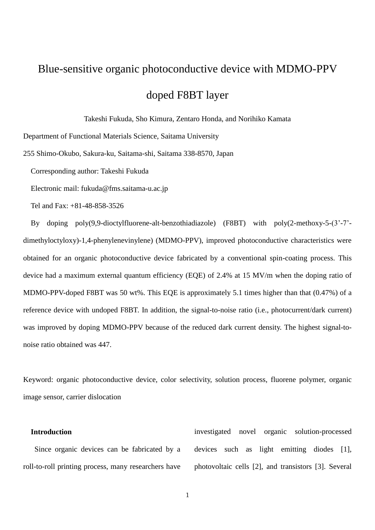# Blue-sensitive organic photoconductive device with MDMO-PPV doped F8BT layer

Takeshi Fukuda, Sho Kimura, Zentaro Honda, and Norihiko Kamata

Department of Functional Materials Science, Saitama University

255 Shimo-Okubo, Sakura-ku, Saitama-shi, Saitama 338-8570, Japan

Corresponding author: Takeshi Fukuda

Electronic mail: fukuda@fms.saitama-u.ac.jp

Tel and Fax: +81-48-858-3526

By doping poly(9,9-dioctylfluorene-alt-benzothiadiazole) (F8BT) with poly(2-methoxy-5-(3'-7' dimethyloctyloxy)-1,4-phenylenevinylene) (MDMO-PPV), improved photoconductive characteristics were obtained for an organic photoconductive device fabricated by a conventional spin-coating process. This device had a maximum external quantum efficiency (EQE) of 2.4% at 15 MV/m when the doping ratio of MDMO-PPV-doped F8BT was 50 wt%. This EQE is approximately 5.1 times higher than that (0.47%) of a reference device with undoped F8BT. In addition, the signal-to-noise ratio (i.e., photocurrent/dark current) was improved by doping MDMO-PPV because of the reduced dark current density. The highest signal-tonoise ratio obtained was 447.

Keyword: organic photoconductive device, color selectivity, solution process, fluorene polymer, organic image sensor, carrier dislocation

## **Introduction**

Since organic devices can be fabricated by a roll-to-roll printing process, many researchers have investigated novel organic solution-processed devices such as light emitting diodes [1], photovoltaic cells [2], and transistors [3]. Several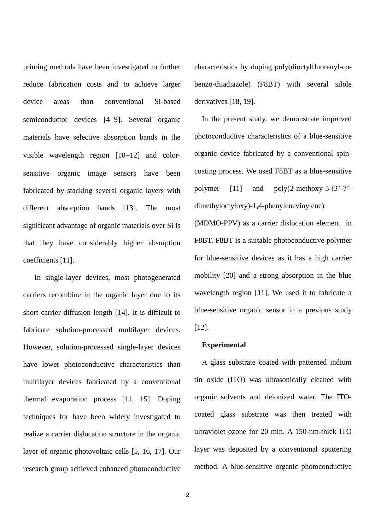printing methods have been investigated to further reduce fabrication costs and to achieve larger device areas than conventional Si-based semiconductor devices [4–9]. Several organic materials have selective absorption bands in the visible wavelength region  $[10-12]$  and colorsensitive organic image sensors have been fabricated by stacking several organic layers with different absorption bands [13]. The most significant advantage of organic materials over Si is that they have considerably higher absorption coefficients [11].

In single-layer devices, most photogenerated carriers recombine in the organic layer due to its short carrier diffusion length [14]. It is difficult to fabricate solution-processed multilayer devices. However, solution-processed single-layer devices have lower photoconductive characteristics than multilayer devices fabricated by a conventional thermal evaporation process [11, 15]. Doping techniques for have been widely investigated to realize a carrier dislocation structure in the organic layer of organic photovoltaic cells [5, 16, 17]. Our research group achieved enhanced photoconductive

characteristics by doping poly(dioctylfluorenyl-cobenzo-thiadiazole) (F8BT) with several silole derivatives [18, 19].

In the present study, we demonstrate improved photoconductive characteristics of a blue-sensitive organic device fabricated by a conventional spincoating process. We used F8BT as a blue-sensitive polymer  $[11]$  and  $poly(2-methoxy-5-(3'-7'-7))$ dimethyloctyloxy)-1,4-phenylenevinylene)

(MDMO-PPV) as a carrier dislocation element in F8BT. F8BT is a suitable photoconductive polymer for blue-sensitive devices as it has a high carrier mobility [20] and a strong absorption in the blue wavelength region [11]. We used it to fabricate a blue-sensitive organic sensor in a previous study [12].

#### **Experimental**

A glass substrate coated with patterned indium tin oxide (ITO) was ultrasonically cleaned with organic solvents and deionized water. The ITOcoated glass substrate was then treated with ultraviolet ozone for 20 min. A 150-nm-thick ITO layer was deposited by a conventional sputtering method. A blue-sensitive organic photoconductive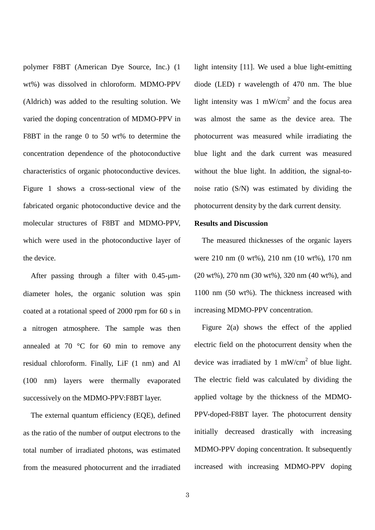polymer F8BT (American Dye Source, Inc.) (1 wt%) was dissolved in chloroform. MDMO-PPV (Aldrich) was added to the resulting solution. We varied the doping concentration of MDMO-PPV in F8BT in the range 0 to 50 wt% to determine the concentration dependence of the photoconductive characteristics of organic photoconductive devices. Figure 1 shows a cross-sectional view of the fabricated organic photoconductive device and the molecular structures of F8BT and MDMO-PPV, which were used in the photoconductive layer of the device.

After passing through a filter with  $0.45$ - $\mu$ mdiameter holes, the organic solution was spin coated at a rotational speed of 2000 rpm for 60 s in a nitrogen atmosphere. The sample was then annealed at 70 °C for 60 min to remove any residual chloroform. Finally, LiF (1 nm) and Al (100 nm) layers were thermally evaporated successively on the MDMO-PPV:F8BT layer.

The external quantum efficiency (EQE), defined as the ratio of the number of output electrons to the total number of irradiated photons, was estimated from the measured photocurrent and the irradiated light intensity [11]. We used a blue light-emitting diode (LED) r wavelength of 470 nm. The blue light intensity was 1 mW/cm<sup>2</sup> and the focus area was almost the same as the device area. The photocurrent was measured while irradiating the blue light and the dark current was measured without the blue light. In addition, the signal-tonoise ratio (S/N) was estimated by dividing the photocurrent density by the dark current density.

#### **Results and Discussion**

The measured thicknesses of the organic layers were 210 nm (0 wt%), 210 nm (10 wt%), 170 nm (20 wt%), 270 nm (30 wt%), 320 nm (40 wt%), and 1100 nm (50 wt%). The thickness increased with increasing MDMO-PPV concentration.

Figure 2(a) shows the effect of the applied electric field on the photocurrent density when the device was irradiated by 1 mW/cm<sup>2</sup> of blue light. The electric field was calculated by dividing the applied voltage by the thickness of the MDMO-PPV-doped-F8BT layer. The photocurrent density initially decreased drastically with increasing MDMO-PPV doping concentration. It subsequently increased with increasing MDMO-PPV doping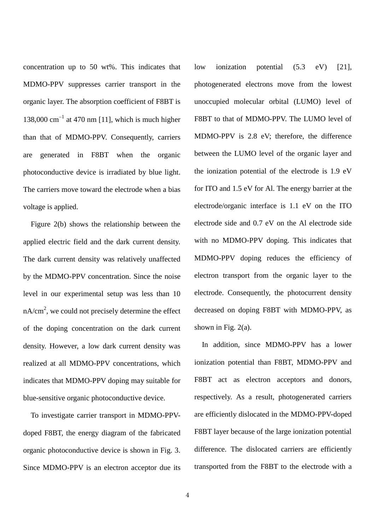concentration up to 50 wt%. This indicates that MDMO-PPV suppresses carrier transport in the organic layer. The absorption coefficient of F8BT is 138,000  $\text{cm}^{-1}$  at 470 nm [11], which is much higher than that of MDMO-PPV. Consequently, carriers are generated in F8BT when the organic photoconductive device is irradiated by blue light. The carriers move toward the electrode when a bias voltage is applied.

Figure 2(b) shows the relationship between the applied electric field and the dark current density. The dark current density was relatively unaffected by the MDMO-PPV concentration. Since the noise level in our experimental setup was less than 10  $nA/cm<sup>2</sup>$ , we could not precisely determine the effect of the doping concentration on the dark current density. However, a low dark current density was realized at all MDMO-PPV concentrations, which indicates that MDMO-PPV doping may suitable for blue-sensitive organic photoconductive device.

To investigate carrier transport in MDMO-PPVdoped F8BT, the energy diagram of the fabricated organic photoconductive device is shown in Fig. 3. Since MDMO-PPV is an electron acceptor due its low ionization potential (5.3 eV) [21], photogenerated electrons move from the lowest unoccupied molecular orbital (LUMO) level of F8BT to that of MDMO-PPV. The LUMO level of MDMO-PPV is 2.8 eV; therefore, the difference between the LUMO level of the organic layer and the ionization potential of the electrode is 1.9 eV for ITO and 1.5 eV for Al. The energy barrier at the electrode/organic interface is 1.1 eV on the ITO electrode side and 0.7 eV on the Al electrode side with no MDMO-PPV doping. This indicates that MDMO-PPV doping reduces the efficiency of electron transport from the organic layer to the electrode. Consequently, the photocurrent density decreased on doping F8BT with MDMO-PPV, as shown in Fig.  $2(a)$ .

In addition, since MDMO-PPV has a lower ionization potential than F8BT, MDMO-PPV and F8BT act as electron acceptors and donors, respectively. As a result, photogenerated carriers are efficiently dislocated in the MDMO-PPV-doped F8BT layer because of the large ionization potential difference. The dislocated carriers are efficiently transported from the F8BT to the electrode with a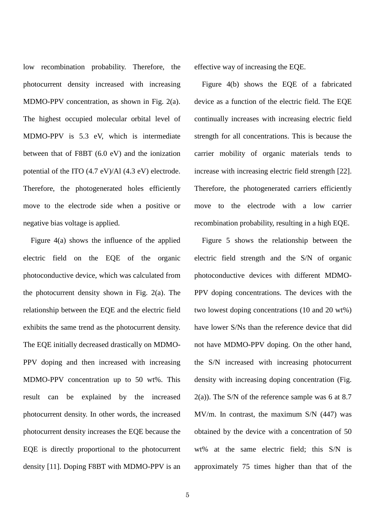low recombination probability. Therefore, the photocurrent density increased with increasing MDMO-PPV concentration, as shown in Fig. 2(a). The highest occupied molecular orbital level of MDMO-PPV is 5.3 eV, which is intermediate between that of F8BT (6.0 eV) and the ionization potential of the ITO (4.7 eV)/Al (4.3 eV) electrode. Therefore, the photogenerated holes efficiently move to the electrode side when a positive or negative bias voltage is applied.

Figure 4(a) shows the influence of the applied electric field on the EQE of the organic photoconductive device, which was calculated from the photocurrent density shown in Fig. 2(a). The relationship between the EQE and the electric field exhibits the same trend as the photocurrent density. The EQE initially decreased drastically on MDMO-PPV doping and then increased with increasing MDMO-PPV concentration up to 50 wt%. This result can be explained by the increased photocurrent density. In other words, the increased photocurrent density increases the EQE because the EQE is directly proportional to the photocurrent density [11]. Doping F8BT with MDMO-PPV is an effective way of increasing the EQE.

Figure 4(b) shows the EQE of a fabricated device as a function of the electric field. The EQE continually increases with increasing electric field strength for all concentrations. This is because the carrier mobility of organic materials tends to increase with increasing electric field strength [22]. Therefore, the photogenerated carriers efficiently move to the electrode with a low carrier recombination probability, resulting in a high EQE.

Figure 5 shows the relationship between the electric field strength and the S/N of organic photoconductive devices with different MDMO-PPV doping concentrations. The devices with the two lowest doping concentrations (10 and 20 wt%) have lower S/Ns than the reference device that did not have MDMO-PPV doping. On the other hand, the S/N increased with increasing photocurrent density with increasing doping concentration (Fig.  $2(a)$ ). The S/N of the reference sample was 6 at 8.7 MV/m. In contrast, the maximum S/N (447) was obtained by the device with a concentration of 50 wt% at the same electric field; this S/N is approximately 75 times higher than that of the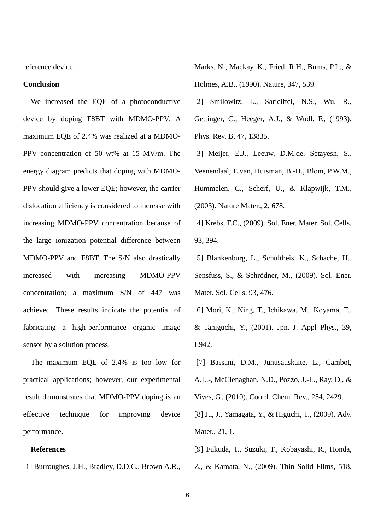reference device.

#### **Conclusion**

We increased the EQE of a photoconductive device by doping F8BT with MDMO-PPV. A maximum EQE of 2.4% was realized at a MDMO-PPV concentration of 50 wt% at 15 MV/m. The energy diagram predicts that doping with MDMO-PPV should give a lower EQE; however, the carrier dislocation efficiency is considered to increase with increasing MDMO-PPV concentration because of the large ionization potential difference between MDMO-PPV and F8BT. The S/N also drastically increased with increasing MDMO-PPV concentration; a maximum S/N of 447 was achieved. These results indicate the potential of fabricating a high-performance organic image sensor by a solution process.

The maximum EQE of 2.4% is too low for practical applications; however, our experimental result demonstrates that MDMO-PPV doping is an effective technique for improving device performance.

## **References**

[1] Burroughes, J.H., Bradley, D.D.C., Brown A.R.,

- Marks, N., Mackay, K., Fried, R.H., Burns, P.L., & Holmes, A.B., (1990). Nature, 347, 539.
- [2] Smilowitz, L., Sariciftci, N.S., Wu, R., Gettinger, C., Heeger, A.J., & Wudl, F., (1993). Phys. Rev. B, 47, 13835.
- [3] Meijer, E.J., Leeuw, D.M.de, Setayesh, S., Veenendaal, E.van, Huisman, B.-H., Blom, P.W.M., Hummelen, C., Scherf, U., & Klapwijk, T.M., (2003). Nature Mater., 2, 678.
- [4] Krebs, F.C., (2009). Sol. Ener. Mater. Sol. Cells, 93, 394.
- [5] Blankenburg, L., Schultheis, K., Schache, H., Sensfuss, S., & Schrödner, M., (2009). Sol. Ener. Mater. Sol. Cells, 93, 476.
- [6] Mori, K., Ning, T., Ichikawa, M., Koyama, T., & Taniguchi, Y., (2001). Jpn. J. Appl Phys., 39, L942.
- [7] Bassani, D.M., Junusauskaite, L., Cambot,
- A.L.-, McClenaghan, N.D., Pozzo, J.-L., Ray, D., &

Vives, G., (2010). Coord. Chem. Rev., 254, 2429.

- [8] Ju, J., Yamagata, Y., & Higuchi, T., (2009). Adv. Mater., 21, 1.
- [9] Fukuda, T., Suzuki, T., Kobayashi, R., Honda,
- Z., & Kamata, N., (2009). Thin Solid Films, 518,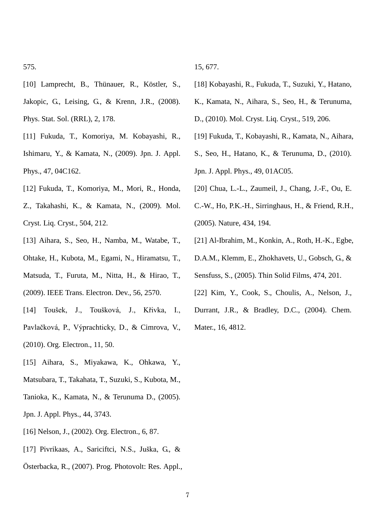- [10] Lamprecht, B., Thünauer, R., Köstler, S., Jakopic, G., Leising, G., & Krenn, J.R., (2008). Phys. Stat. Sol. (RRL), 2, 178.
- [11] Fukuda, T., Komoriya, M. Kobayashi, R., Ishimaru, Y., & Kamata, N., (2009). Jpn. J. Appl. Phys., 47, 04C162.
- [12] Fukuda, T., Komoriya, M., Mori, R., Honda,
- Z., Takahashi, K., & Kamata, N., (2009). Mol. Cryst. Liq. Cryst., 504, 212.
- [13] Aihara, S., Seo, H., Namba, M., Watabe, T.,
- Ohtake, H., Kubota, M., Egami, N., Hiramatsu, T.,
- Matsuda, T., Furuta, M., Nitta, H., & Hirao, T., (2009). IEEE Trans. Electron. Dev., 56, 2570.
- [14] Toušek, J., Toušková, J., Křivka, I., Pavlačková, P., Výprachticky, D., & Cimrova, V., (2010). Org. Electron., 11, 50.
- [15] Aihara, S., Miyakawa, K., Ohkawa, Y.,
- Matsubara, T., Takahata, T., Suzuki, S., Kubota, M.,
- Tanioka, K., Kamata, N., & Terunuma D., (2005).
- Jpn. J. Appl. Phys., 44, 3743.
- [16] Nelson, J., (2002). Org. Electron., 6, 87.
- [17] Pivrikaas, A., Sariciftci, N.S., Juška, G., &
- Österbacka, R., (2007). Prog. Photovolt: Res. Appl.,

15, 677.

- [18] Kobayashi, R., Fukuda, T., Suzuki, Y., Hatano,
- K., Kamata, N., Aihara, S., Seo, H., & Terunuma,
- D., (2010). Mol. Cryst. Liq. Cryst., 519, 206.
- [19] Fukuda, T., Kobayashi, R., Kamata, N., Aihara,
- S., Seo, H., Hatano, K., & Terunuma, D., (2010).
- Jpn. J. Appl. Phys., 49, 01AC05.
- [20] Chua, L.-L., Zaumeil, J., Chang, J.-F., Ou, E.
- C.-W., Ho, P.K.-H., Sirringhaus, H., & Friend, R.H., (2005). Nature, 434, 194.
- [21] Al-Ibrahim, M., Konkin, A., Roth, H.-K., Egbe,
- D.A.M., Klemm, E., Zhokhavets, U., Gobsch, G., &
- Sensfuss, S., (2005). Thin Solid Films, 474, 201.
- [22] Kim, Y., Cook, S., Choulis, A., Nelson, J.,
- Durrant, J.R., & Bradley, D.C., (2004). Chem.
- Mater., 16, 4812.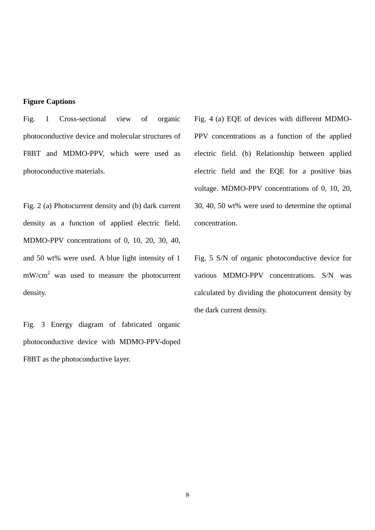# **Figure Captions**

Fig. 1 Cross-sectional view of organic photoconductive device and molecular structures of F8BT and MDMO-PPV, which were used as photoconductive materials.

Fig. 2 (a) Photocurrent density and (b) dark current density as a function of applied electric field. MDMO-PPV concentrations of 0, 10, 20, 30, 40, and 50 wt% were used. A blue light intensity of 1 mW/cm<sup>2</sup> was used to measure the photocurrent density.

Fig. 3 Energy diagram of fabricated organic photoconductive device with MDMO-PPV-doped F8BT as the photoconductive layer.

Fig. 4 (a) EQE of devices with different MDMO-PPV concentrations as a function of the applied electric field. (b) Relationship between applied electric field and the EQE for a positive bias voltage. MDMO-PPV concentrations of 0, 10, 20, 30, 40, 50 wt% were used to determine the optimal concentration.

Fig. 5 S/N of organic photoconductive device for various MDMO-PPV concentrations. S/N was calculated by dividing the photocurrent density by the dark current density.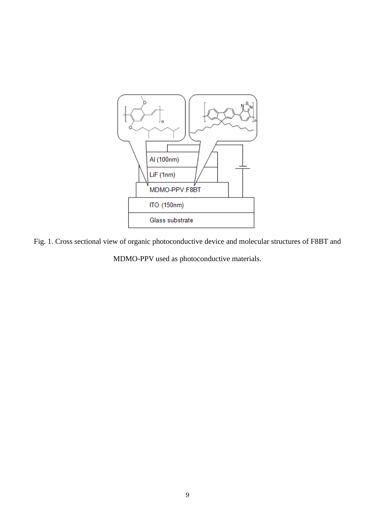

Fig. 1. Cross sectional view of organic photoconductive device and molecular structures of F8BT and

MDMO-PPV used as photoconductive materials.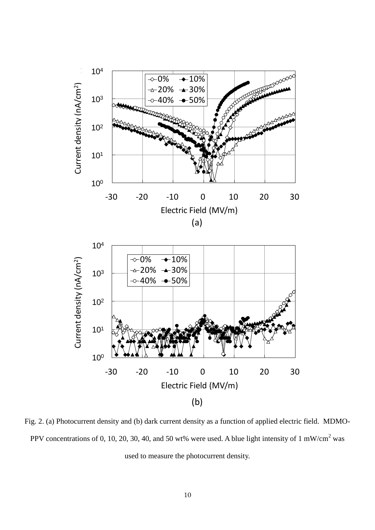

Fig. 2. (a) Photocurrent density and (b) dark current density as a function of applied electric field. MDMO-PPV concentrations of 0, 10, 20, 30, 40, and 50 wt% were used. A blue light intensity of 1 mW/cm<sup>2</sup> was used to measure the photocurrent density.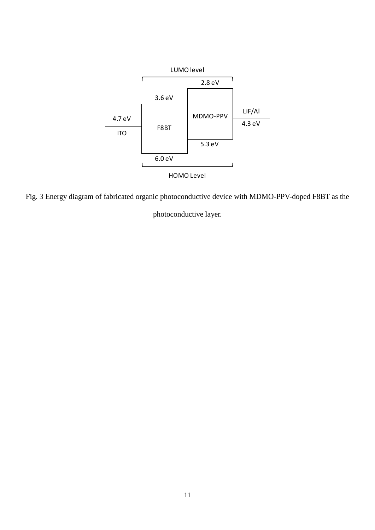

Fig. 3 Energy diagram of fabricated organic photoconductive device with MDMO-PPV-doped F8BT as the

photoconductive layer.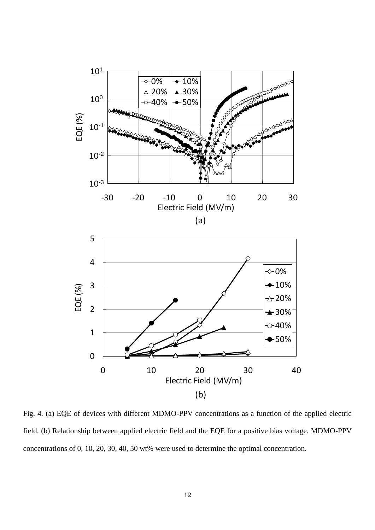

Fig. 4. (a) EQE of devices with different MDMO-PPV concentrations as a function of the applied electric field. (b) Relationship between applied electric field and the EQE for a positive bias voltage. MDMO-PPV concentrations of 0, 10, 20, 30, 40, 50 wt% were used to determine the optimal concentration.